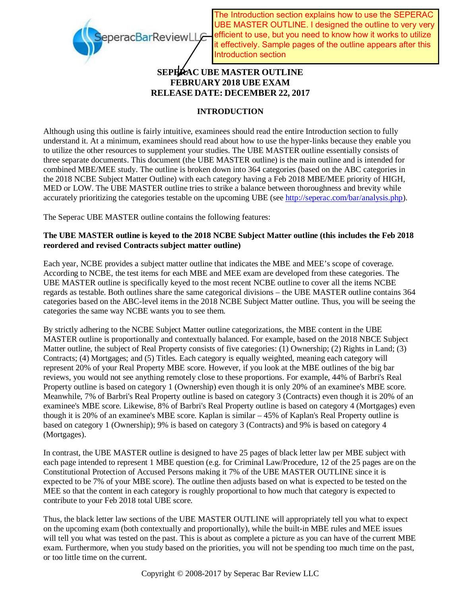

The Introduction section explains how to use the SEPERAC UBE MASTER OUTLINE. I designed the outline to very very efficient to use, but you need to know how it works to utilize it effectively. Sample pages of the outline appears after this Introduction section

# **SEPERAC UBE MASTER OUTLINE FEBRUARY 2018 UBE EXAM RELEASE DATE: DECEMBER 22, 2017**

# **INTRODUCTION**

Although using this outline is fairly intuitive, examinees should read the entire Introduction section to fully understand it. At a minimum, examinees should read about how to use the hyper-links because they enable you to utilize the other resources to supplement your studies. The UBE MASTER outline essentially consists of three separate documents. This document (the UBE MASTER outline) is the main outline and is intended for combined MBE/MEE study. The outline is broken down into 364 categories (based on the ABC categories in the 2018 NCBE Subject Matter Outline) with each category having a Feb 2018 MBE/MEE priority of HIGH, MED or LOW. The UBE MASTER outline tries to strike a balance between thoroughness and brevity while accurately prioritizing the categories testable on the upcoming UBE (see http://seperac.com/bar/analysis.php).

The Seperac UBE MASTER outline contains the following features:

### **The UBE MASTER outline is keyed to the 2018 NCBE Subject Matter outline (this includes the Feb 2018 reordered and revised Contracts subject matter outline)**

Each year, NCBE provides a subject matter outline that indicates the MBE and MEE's scope of coverage. According to NCBE, the test items for each MBE and MEE exam are developed from these categories. The UBE MASTER outline is specifically keyed to the most recent NCBE outline to cover all the items NCBE regards as testable. Both outlines share the same categorical divisions – the UBE MASTER outline contains 364 categories based on the ABC-level items in the 2018 NCBE Subject Matter outline. Thus, you will be seeing the categories the same way NCBE wants you to see them.

By strictly adhering to the NCBE Subject Matter outline categorizations, the MBE content in the UBE MASTER outline is proportionally and contextually balanced. For example, based on the 2018 NBCE Subject Matter outline, the subject of Real Property consists of five categories: (1) Ownership; (2) Rights in Land; (3) Contracts; (4) Mortgages; and (5) Titles. Each category is equally weighted, meaning each category will represent 20% of your Real Property MBE score. However, if you look at the MBE outlines of the big bar reviews, you would not see anything remotely close to these proportions. For example, 44% of Barbri's Real Property outline is based on category 1 (Ownership) even though it is only 20% of an examinee's MBE score. Meanwhile, 7% of Barbri's Real Property outline is based on category 3 (Contracts) even though it is 20% of an examinee's MBE score. Likewise, 8% of Barbri's Real Property outline is based on category 4 (Mortgages) even though it is 20% of an examinee's MBE score. Kaplan is similar – 45% of Kaplan's Real Property outline is based on category 1 (Ownership); 9% is based on category 3 (Contracts) and 9% is based on category 4 (Mortgages).

In contrast, the UBE MASTER outline is designed to have 25 pages of black letter law per MBE subject with each page intended to represent 1 MBE question (e.g. for Criminal Law/Procedure, 12 of the 25 pages are on the Constitutional Protection of Accused Persons making it 7% of the UBE MASTER OUTLINE since it is expected to be 7% of your MBE score). The outline then adjusts based on what is expected to be tested on the MEE so that the content in each category is roughly proportional to how much that category is expected to contribute to your Feb 2018 total UBE score.

Thus, the black letter law sections of the UBE MASTER OUTLINE will appropriately tell you what to expect on the upcoming exam (both contextually and proportionally), while the built-in MBE rules and MEE issues will tell you what was tested on the past. This is about as complete a picture as you can have of the current MBE exam. Furthermore, when you study based on the priorities, you will not be spending too much time on the past, or too little time on the current.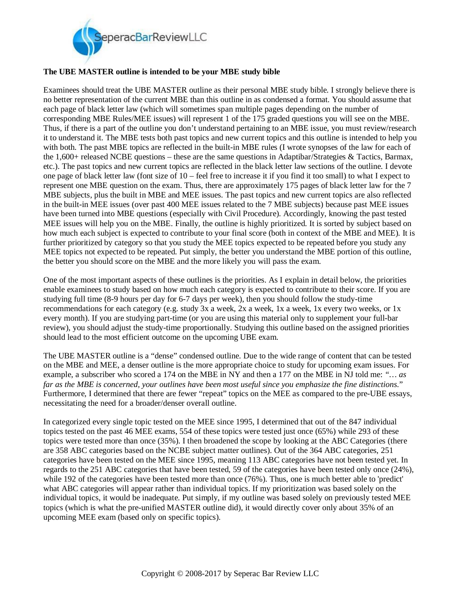

### **The UBE MASTER outline is intended to be your MBE study bible**

Examinees should treat the UBE MASTER outline as their personal MBE study bible. I strongly believe there is no better representation of the current MBE than this outline in as condensed a format. You should assume that each page of black letter law (which will sometimes span multiple pages depending on the number of corresponding MBE Rules/MEE issues) will represent 1 of the 175 graded questions you will see on the MBE. Thus, if there is a part of the outline you don't understand pertaining to an MBE issue, you must review/research it to understand it. The MBE tests both past topics and new current topics and this outline is intended to help you with both. The past MBE topics are reflected in the built-in MBE rules (I wrote synopses of the law for each of the 1,600+ released NCBE questions – these are the same questions in Adaptibar/Strategies & Tactics, Barmax, etc.). The past topics and new current topics are reflected in the black letter law sections of the outline. I devote one page of black letter law (font size of 10 – feel free to increase it if you find it too small) to what I expect to represent one MBE question on the exam. Thus, there are approximately 175 pages of black letter law for the 7 MBE subjects, plus the built in MBE and MEE issues. The past topics and new current topics are also reflected in the built-in MEE issues (over past 400 MEE issues related to the 7 MBE subjects) because past MEE issues have been turned into MBE questions (especially with Civil Procedure). Accordingly, knowing the past tested MEE issues will help you on the MBE. Finally, the outline is highly prioritized. It is sorted by subject based on how much each subject is expected to contribute to your final score (both in context of the MBE and MEE). It is further prioritized by category so that you study the MEE topics expected to be repeated before you study any MEE topics not expected to be repeated. Put simply, the better you understand the MBE portion of this outline, the better you should score on the MBE and the more likely you will pass the exam.

One of the most important aspects of these outlines is the priorities. As I explain in detail below, the priorities enable examinees to study based on how much each category is expected to contribute to their score. If you are studying full time (8-9 hours per day for 6-7 days per week), then you should follow the study-time recommendations for each category (e.g. study 3x a week, 2x a week, 1x a week, 1x every two weeks, or 1x every month). If you are studying part-time (or you are using this material only to supplement your full-bar review), you should adjust the study-time proportionally. Studying this outline based on the assigned priorities should lead to the most efficient outcome on the upcoming UBE exam.

The UBE MASTER outline is a "dense" condensed outline. Due to the wide range of content that can be tested on the MBE and MEE, a denser outline is the more appropriate choice to study for upcoming exam issues. For example, a subscriber who scored a 174 on the MBE in NY and then a 177 on the MBE in NJ told me: *"… as far as the MBE is concerned, your outlines have been most useful since you emphasize the fine distinctions.*" Furthermore, I determined that there are fewer "repeat" topics on the MEE as compared to the pre-UBE essays, necessitating the need for a broader/denser overall outline.

In categorized every single topic tested on the MEE since 1995, I determined that out of the 847 individual topics tested on the past 46 MEE exams, 554 of these topics were tested just once (65%) while 293 of these topics were tested more than once (35%). I then broadened the scope by looking at the ABC Categories (there are 358 ABC categories based on the NCBE subject matter outlines). Out of the 364 ABC categories, 251 categories have been tested on the MEE since 1995, meaning 113 ABC categories have not been tested yet. In regards to the 251 ABC categories that have been tested, 59 of the categories have been tested only once (24%), while 192 of the categories have been tested more than once (76%). Thus, one is much better able to 'predict' what ABC categories will appear rather than individual topics. If my prioritization was based solely on the individual topics, it would be inadequate. Put simply, if my outline was based solely on previously tested MEE topics (which is what the pre-unified MASTER outline did), it would directly cover only about 35% of an upcoming MEE exam (based only on specific topics).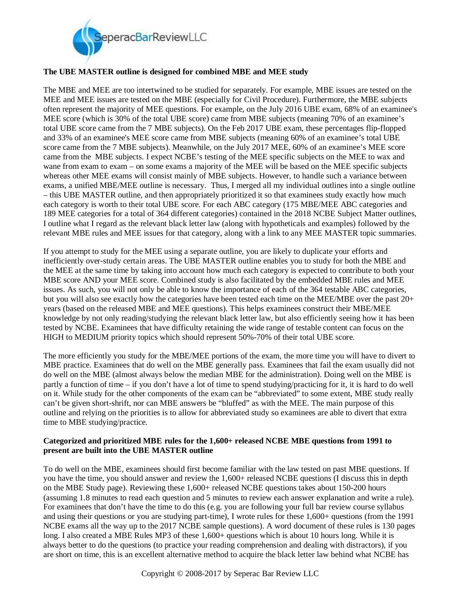

### **The UBE MASTER outline is designed for combined MBE and MEE study**

The MBE and MEE are too intertwined to be studied for separately. For example, MBE issues are tested on the MEE and MEE issues are tested on the MBE (especially for Civil Procedure). Furthermore, the MBE subjects often represent the majority of MEE questions. For example, on the July 2016 UBE exam, 68% of an examinee's MEE score (which is 30% of the total UBE score) came from MBE subjects (meaning 70% of an examinee's total UBE score came from the 7 MBE subjects). On the Feb 2017 UBE exam, these percentages flip-flopped and 33% of an examinee's MEE score came from MBE subjects (meaning 60% of an examinee's total UBE score came from the 7 MBE subjects). Meanwhile, on the July 2017 MEE, 60% of an examinee's MEE score came from the MBE subjects. I expect NCBE's testing of the MEE specific subjects on the MEE to wax and wane from exam to exam – on some exams a majority of the MEE will be based on the MEE specific subjects whereas other MEE exams will consist mainly of MBE subjects. However, to handle such a variance between exams, a unified MBE/MEE outline is necessary. Thus, I merged all my individual outlines into a single outline – this UBE MASTER outline, and then appropriately prioritized it so that examinees study exactly how much each category is worth to their total UBE score. For each ABC category (175 MBE/MEE ABC categories and 189 MEE categories for a total of 364 different categories) contained in the 2018 NCBE Subject Matter outlines, I outline what I regard as the relevant black letter law (along with hypotheticals and examples) followed by the relevant MBE rules and MEE issues for that category, along with a link to any MEE MASTER topic summaries.

If you attempt to study for the MEE using a separate outline, you are likely to duplicate your efforts and inefficiently over-study certain areas. The UBE MASTER outline enables you to study for both the MBE and the MEE at the same time by taking into account how much each category is expected to contribute to both your MBE score AND your MEE score. Combined study is also facilitated by the embedded MBE rules and MEE issues. As such, you will not only be able to know the importance of each of the 364 testable ABC categories, but you will also see exactly how the categories have been tested each time on the MEE/MBE over the past 20+ years (based on the released MBE and MEE questions). This helps examinees construct their MBE/MEE knowledge by not only reading/studying the relevant black letter law, but also efficiently seeing how it has been tested by NCBE. Examinees that have difficulty retaining the wide range of testable content can focus on the HIGH to MEDIUM priority topics which should represent 50%-70% of their total UBE score.

The more efficiently you study for the MBE/MEE portions of the exam, the more time you will have to divert to MBE practice. Examinees that do well on the MBE generally pass. Examinees that fail the exam usually did not do well on the MBE (almost always below the median MBE for the administration). Doing well on the MBE is partly a function of time – if you don't have a lot of time to spend studying/practicing for it, it is hard to do well on it. While study for the other components of the exam can be "abbreviated" to some extent, MBE study really can't be given short-shrift, nor can MBE answers be "bluffed" as with the MEE. The main purpose of this outline and relying on the priorities is to allow for abbreviated study so examinees are able to divert that extra time to MBE studying/practice.

### **Categorized and prioritized MBE rules for the 1,600+ released NCBE MBE questions from 1991 to present are built into the UBE MASTER outline**

To do well on the MBE, examinees should first become familiar with the law tested on past MBE questions. If you have the time, you should answer and review the 1,600+ released NCBE questions (I discuss this in depth on the MBE Study page). Reviewing these 1,600+ released NCBE questions takes about 150-200 hours (assuming 1.8 minutes to read each question and 5 minutes to review each answer explanation and write a rule). For examinees that don't have the time to do this (e.g. you are following your full bar review course syllabus and using their questions or you are studying part-time), I wrote rules for these 1,600+ questions (from the 1991 NCBE exams all the way up to the 2017 NCBE sample questions). A word document of these rules is 130 pages long. I also created a MBE Rules MP3 of these 1,600+ questions which is about 10 hours long. While it is always better to do the questions (to practice your reading comprehension and dealing with distractors), if you are short on time, this is an excellent alternative method to acquire the black letter law behind what NCBE has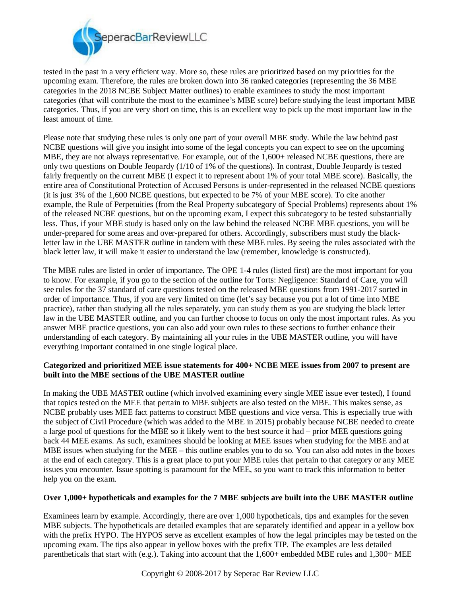

tested in the past in a very efficient way. More so, these rules are prioritized based on my priorities for the upcoming exam. Therefore, the rules are broken down into 36 ranked categories (representing the 36 MBE categories in the 2018 NCBE Subject Matter outlines) to enable examinees to study the most important categories (that will contribute the most to the examinee's MBE score) before studying the least important MBE categories. Thus, if you are very short on time, this is an excellent way to pick up the most important law in the least amount of time.

Please note that studying these rules is only one part of your overall MBE study. While the law behind past NCBE questions will give you insight into some of the legal concepts you can expect to see on the upcoming MBE, they are not always representative. For example, out of the 1,600+ released NCBE questions, there are only two questions on Double Jeopardy (1/10 of 1% of the questions). In contrast, Double Jeopardy is tested fairly frequently on the current MBE (I expect it to represent about 1% of your total MBE score). Basically, the entire area of Constitutional Protection of Accused Persons is under-represented in the released NCBE questions (it is just 3% of the 1,600 NCBE questions, but expected to be 7% of your MBE score). To cite another example, the Rule of Perpetuities (from the Real Property subcategory of Special Problems) represents about 1% of the released NCBE questions, but on the upcoming exam, I expect this subcategory to be tested substantially less. Thus, if your MBE study is based only on the law behind the released NCBE MBE questions, you will be under-prepared for some areas and over-prepared for others. Accordingly, subscribers must study the blackletter law in the UBE MASTER outline in tandem with these MBE rules. By seeing the rules associated with the black letter law, it will make it easier to understand the law (remember, knowledge is constructed).

The MBE rules are listed in order of importance. The OPE 1-4 rules (listed first) are the most important for you to know. For example, if you go to the section of the outline for Torts: Negligence: Standard of Care, you will see rules for the 37 standard of care questions tested on the released MBE questions from 1991-2017 sorted in order of importance. Thus, if you are very limited on time (let's say because you put a lot of time into MBE practice), rather than studying all the rules separately, you can study them as you are studying the black letter law in the UBE MASTER outline, and you can further choose to focus on only the most important rules. As you answer MBE practice questions, you can also add your own rules to these sections to further enhance their understanding of each category. By maintaining all your rules in the UBE MASTER outline, you will have everything important contained in one single logical place.

### **Categorized and prioritized MEE issue statements for 400+ NCBE MEE issues from 2007 to present are built into the MBE sections of the UBE MASTER outline**

In making the UBE MASTER outline (which involved examining every single MEE issue ever tested), I found that topics tested on the MEE that pertain to MBE subjects are also tested on the MBE. This makes sense, as NCBE probably uses MEE fact patterns to construct MBE questions and vice versa. This is especially true with the subject of Civil Procedure (which was added to the MBE in 2015) probably because NCBE needed to create a large pool of questions for the MBE so it likely went to the best source it had – prior MEE questions going back 44 MEE exams. As such, examinees should be looking at MEE issues when studying for the MBE and at MBE issues when studying for the MEE – this outline enables you to do so. You can also add notes in the boxes at the end of each category. This is a great place to put your MBE rules that pertain to that category or any MEE issues you encounter. Issue spotting is paramount for the MEE, so you want to track this information to better help you on the exam.

### **Over 1,000+ hypotheticals and examples for the 7 MBE subjects are built into the UBE MASTER outline**

Examinees learn by example. Accordingly, there are over 1,000 hypotheticals, tips and examples for the seven MBE subjects. The hypotheticals are detailed examples that are separately identified and appear in a yellow box with the prefix HYPO. The HYPOS serve as excellent examples of how the legal principles may be tested on the upcoming exam. The tips also appear in yellow boxes with the prefix TIP. The examples are less detailed parentheticals that start with (e.g.). Taking into account that the 1,600+ embedded MBE rules and 1,300+ MEE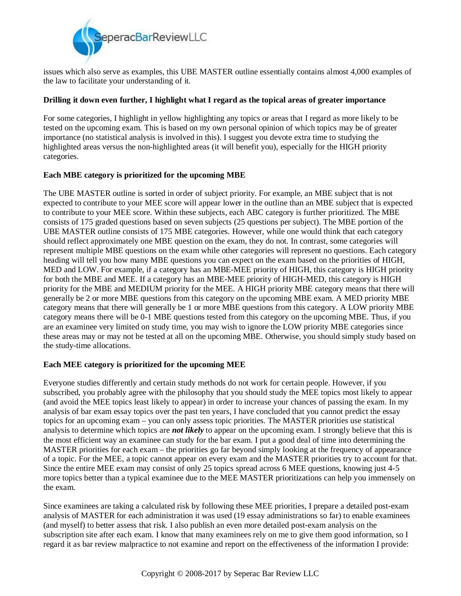

issues which also serve as examples, this UBE MASTER outline essentially contains almost 4,000 examples of the law to facilitate your understanding of it.

### **Drilling it down even further, I highlight what I regard as the topical areas of greater importance**

For some categories, I highlight in yellow highlighting any topics or areas that I regard as more likely to be tested on the upcoming exam. This is based on my own personal opinion of which topics may be of greater importance (no statistical analysis is involved in this). I suggest you devote extra time to studying the highlighted areas versus the non-highlighted areas (it will benefit you), especially for the HIGH priority categories.

#### **Each MBE category is prioritized for the upcoming MBE**

The UBE MASTER outline is sorted in order of subject priority. For example, an MBE subject that is not expected to contribute to your MEE score will appear lower in the outline than an MBE subject that is expected to contribute to your MEE score. Within these subjects, each ABC category is further prioritized. The MBE consists of 175 graded questions based on seven subjects (25 questions per subject). The MBE portion of the UBE MASTER outline consists of 175 MBE categories. However, while one would think that each category should reflect approximately one MBE question on the exam, they do not. In contrast, some categories will represent multiple MBE questions on the exam while other categories will represent no questions. Each category heading will tell you how many MBE questions you can expect on the exam based on the priorities of HIGH, MED and LOW. For example, if a category has an MBE-MEE priority of HIGH, this category is HIGH priority for both the MBE and MEE. If a category has an MBE-MEE priority of HIGH-MED, this category is HIGH priority for the MBE and MEDIUM priority for the MEE. A HIGH priority MBE category means that there will generally be 2 or more MBE questions from this category on the upcoming MBE exam. A MED priority MBE category means that there will generally be 1 or more MBE questions from this category. A LOW priority MBE category means there will be 0-1 MBE questions tested from this category on the upcoming MBE. Thus, if you are an examinee very limited on study time, you may wish to ignore the LOW priority MBE categories since these areas may or may not be tested at all on the upcoming MBE. Otherwise, you should simply study based on the study-time allocations.

### **Each MEE category is prioritized for the upcoming MEE**

Everyone studies differently and certain study methods do not work for certain people. However, if you subscribed, you probably agree with the philosophy that you should study the MEE topics most likely to appear (and avoid the MEE topics least likely to appear) in order to increase your chances of passing the exam. In my analysis of bar exam essay topics over the past ten years, I have concluded that you cannot predict the essay topics for an upcoming exam – you can only assess topic priorities. The MASTER priorities use statistical analysis to determine which topics are *not likely* to appear on the upcoming exam. I strongly believe that this is the most efficient way an examinee can study for the bar exam. I put a good deal of time into determining the MASTER priorities for each exam – the priorities go far beyond simply looking at the frequency of appearance of a topic. For the MEE, a topic cannot appear on every exam and the MASTER priorities try to account for that. Since the entire MEE exam may consist of only 25 topics spread across 6 MEE questions, knowing just 4-5 more topics better than a typical examinee due to the MEE MASTER prioritizations can help you immensely on the exam.

Since examinees are taking a calculated risk by following these MEE priorities, I prepare a detailed post-exam analysis of MASTER for each administration it was used (19 essay administrations so far) to enable examinees (and myself) to better assess that risk. I also publish an even more detailed post-exam analysis on the subscription site after each exam. I know that many examinees rely on me to give them good information, so I regard it as bar review malpractice to not examine and report on the effectiveness of the information I provide: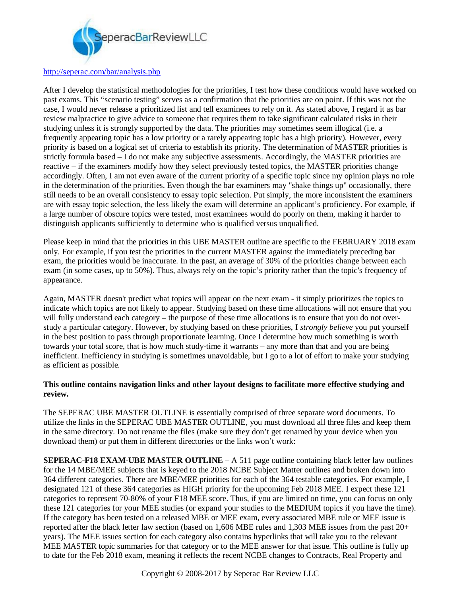

#### <http://seperac.com/bar/analysis.php>

After I develop the statistical methodologies for the priorities, I test how these conditions would have worked on past exams. This "scenario testing" serves as a confirmation that the priorities are on point. If this was not the case, I would never release a prioritized list and tell examinees to rely on it. As stated above, I regard it as bar review malpractice to give advice to someone that requires them to take significant calculated risks in their studying unless it is strongly supported by the data. The priorities may sometimes seem illogical (i.e. a frequently appearing topic has a low priority or a rarely appearing topic has a high priority). However, every priority is based on a logical set of criteria to establish its priority. The determination of MASTER priorities is strictly formula based – I do not make any subjective assessments. Accordingly, the MASTER priorities are reactive – if the examiners modify how they select previously tested topics, the MASTER priorities change accordingly. Often, I am not even aware of the current priority of a specific topic since my opinion plays no role in the determination of the priorities. Even though the bar examiners may "shake things up" occasionally, there still needs to be an overall consistency to essay topic selection. Put simply, the more inconsistent the examiners are with essay topic selection, the less likely the exam will determine an applicant's proficiency. For example, if a large number of obscure topics were tested, most examinees would do poorly on them, making it harder to distinguish applicants sufficiently to determine who is qualified versus unqualified.

Please keep in mind that the priorities in this UBE MASTER outline are specific to the FEBRUARY 2018 exam only. For example, if you test the priorities in the current MASTER against the immediately preceding bar exam, the priorities would be inaccurate. In the past, an average of 30% of the priorities change between each exam (in some cases, up to 50%). Thus, always rely on the topic's priority rather than the topic's frequency of appearance.

Again, MASTER doesn't predict what topics will appear on the next exam - it simply prioritizes the topics to indicate which topics are not likely to appear. Studying based on these time allocations will not ensure that you will fully understand each category – the purpose of these time allocations is to ensure that you do not overstudy a particular category. However, by studying based on these priorities, I *strongly believe* you put yourself in the best position to pass through proportionate learning. Once I determine how much something is worth towards your total score, that is how much study-time it warrants – any more than that and you are being inefficient. Inefficiency in studying is sometimes unavoidable, but I go to a lot of effort to make your studying as efficient as possible.

### **This outline contains navigation links and other layout designs to facilitate more effective studying and review.**

The SEPERAC UBE MASTER OUTLINE is essentially comprised of three separate word documents. To utilize the links in the SEPERAC UBE MASTER OUTLINE, you must download all three files and keep them in the same directory. Do not rename the files (make sure they don't get renamed by your device when you download them) or put them in different directories or the links won't work:

**SEPERAC-F18 EXAM-UBE MASTER OUTLINE** – A 511 page outline containing black letter law outlines for the 14 MBE/MEE subjects that is keyed to the 2018 NCBE Subject Matter outlines and broken down into 364 different categories. There are MBE/MEE priorities for each of the 364 testable categories. For example, I designated 121 of these 364 categories as HIGH priority for the upcoming Feb 2018 MEE. I expect these 121 categories to represent 70-80% of your F18 MEE score. Thus, if you are limited on time, you can focus on only these 121 categories for your MEE studies (or expand your studies to the MEDIUM topics if you have the time). If the category has been tested on a released MBE or MEE exam, every associated MBE rule or MEE issue is reported after the black letter law section (based on 1,606 MBE rules and 1,303 MEE issues from the past 20+ years). The MEE issues section for each category also contains hyperlinks that will take you to the relevant MEE MASTER topic summaries for that category or to the MEE answer for that issue. This outline is fully up to date for the Feb 2018 exam, meaning it reflects the recent NCBE changes to Contracts, Real Property and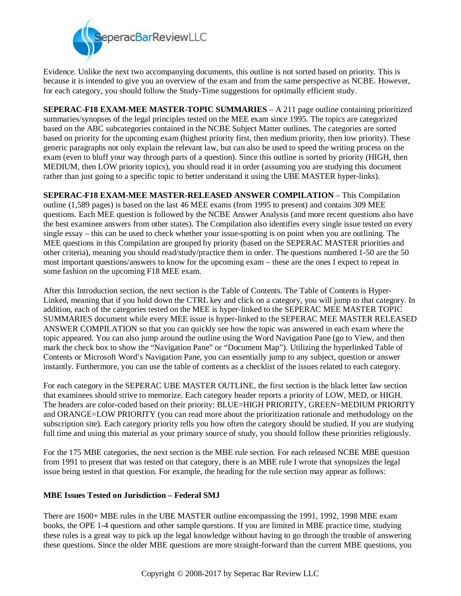

Evidence. Unlike the next two accompanying documents, this outline is not sorted based on priority. This is because it is intended to give you an overview of the exam and from the same perspective as NCBE. However, for each category, you should follow the Study-Time suggestions for optimally efficient study.

**SEPERAC-F18 EXAM-MEE MASTER-TOPIC SUMMARIES** – A 211 page outline containing prioritized summaries/synopses of the legal principles tested on the MEE exam since 1995. The topics are categorized based on the ABC subcategories contained in the NCBE Subject Matter outlines. The categories are sorted based on priority for the upcoming exam (highest priority first, then medium priority, then low priority). These generic paragraphs not only explain the relevant law, but can also be used to speed the writing process on the exam (even to bluff your way through parts of a question). Since this outline is sorted by priority (HIGH, then MEDIUM, then LOW priority topics), you should read it in order (assuming you are studying this document rather than just going to a specific topic to better understand it using the UBE MASTER hyper-links).

**SEPERAC-F18 EXAM-MEE MASTER-RELEASED ANSWER COMPILATION** – This Compilation outline (1,589 pages) is based on the last 46 MEE exams (from 1995 to present) and contains 309 MEE questions. Each MEE question is followed by the NCBE Answer Analysis (and more recent questions also have the best examinee answers from other states). The Compilation also identifies every single issue tested on every single essay – this can be used to check whether your issue-spotting is on point when you are outlining. The MEE questions in this Compilation are grouped by priority (based on the SEPERAC MASTER priorities and other criteria), meaning you should read/study/practice them in order. The questions numbered 1-50 are the 50 most important questions/answers to know for the upcoming exam – these are the ones I expect to repeat in some fashion on the upcoming F18 MEE exam.

After this Introduction section, the next section is the Table of Contents. The Table of Contents is Hyper-Linked, meaning that if you hold down the CTRL key and click on a category, you will jump to that category. In addition, each of the categories tested on the MEE is hyper-linked to the SEPERAC MEE MASTER TOPIC SUMMARIES document while every MEE issue is hyper-linked to the SEPERAC MEE MASTER RELEASED ANSWER COMPILATION so that you can quickly see how the topic was answered in each exam where the topic appeared. You can also jump around the outline using the Word Navigation Pane (go to View, and then mark the check box to show the "Navigation Pane" or "Document Map"). Utilizing the hyperlinked Table of Contents or Microsoft Word's Navigation Pane, you can essentially jump to any subject, question or answer instantly. Furthermore, you can use the table of contents as a checklist of the issues related to each category.

For each category in the SEPERAC UBE MASTER OUTLINE, the first section is the black letter law section that examinees should strive to memorize. Each category header reports a priority of LOW, MED, or HIGH. The headers are color-coded based on their priority: BLUE=HIGH PRIORITY, GREEN=MEDIUM PRIORITY and ORANGE=LOW PRIORITY (you can read more about the prioritization rationale and methodology on the subscription site). Each category priority tells you how often the category should be studied. If you are studying full time and using this material as your primary source of study, you should follow these priorities religiously.

For the 175 MBE categories, the next section is the MBE rule section. For each released NCBE MBE question from 1991 to present that was tested on that category, there is an MBE rule I wrote that synopsizes the legal issue being tested in that question. For example, the heading for the rule section may appear as follows:

### **MBE Issues Tested on Jurisdiction – Federal SMJ**

There are 1600+ MBE rules in the UBE MASTER outline encompassing the 1991, 1992, 1998 MBE exam books, the OPE 1-4 questions and other sample questions. If you are limited in MBE practice time, studying these rules is a great way to pick up the legal knowledge without having to go through the trouble of answering these questions. Since the older MBE questions are more straight-forward than the current MBE questions, you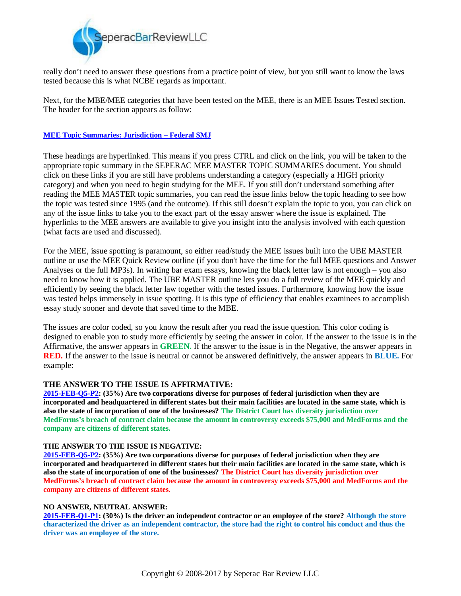

really don't need to answer these questions from a practice point of view, but you still want to know the laws tested because this is what NCBE regards as important.

Next, for the MBE/MEE categories that have been tested on the MEE, there is an MEE Issues Tested section. The header for the section appears as follow:

#### **MEE Topic Summaries: Jurisdiction – Federal SMJ**

These headings are hyperlinked. This means if you press CTRL and click on the link, you will be taken to the appropriate topic summary in the SEPERAC MEE MASTER TOPIC SUMMARIES document. You should click on these links if you are still have problems understanding a category (especially a HIGH priority category) and when you need to begin studying for the MEE. If you still don't understand something after reading the MEE MASTER topic summaries, you can read the issue links below the topic heading to see how the topic was tested since 1995 (and the outcome). If this still doesn't explain the topic to you, you can click on any of the issue links to take you to the exact part of the essay answer where the issue is explained. The hyperlinks to the MEE answers are available to give you insight into the analysis involved with each question (what facts are used and discussed).

For the MEE, issue spotting is paramount, so either read/study the MEE issues built into the UBE MASTER outline or use the MEE Quick Review outline (if you don't have the time for the full MEE questions and Answer Analyses or the full MP3s). In writing bar exam essays, knowing the black letter law is not enough – you also need to know how it is applied. The UBE MASTER outline lets you do a full review of the MEE quickly and efficiently by seeing the black letter law together with the tested issues. Furthermore, knowing how the issue was tested helps immensely in issue spotting. It is this type of efficiency that enables examinees to accomplish essay study sooner and devote that saved time to the MBE.

The issues are color coded, so you know the result after you read the issue question. This color coding is designed to enable you to study more efficiently by seeing the answer in color. If the answer to the issue is in the Affirmative, the answer appears in **GREEN.** If the answer to the issue is in the Negative, the answer appears in **RED.** If the answer to the issue is neutral or cannot be answered definitively, the answer appears in **BLUE.** For example:

### **THE ANSWER TO THE ISSUE IS AFFIRMATIVE:**

**2015-FEB-Q5-P2: (35%) Are two corporations diverse for purposes of federal jurisdiction when they are incorporated and headquartered in different states but their main facilities are located in the same state, which is also the state of incorporation of one of the businesses? The District Court has diversity jurisdiction over MedForms's breach of contract claim because the amount in controversy exceeds \$75,000 and MedForms and the company are citizens of different states.**

#### **THE ANSWER TO THE ISSUE IS NEGATIVE:**

**2015-FEB-Q5-P2: (35%) Are two corporations diverse for purposes of federal jurisdiction when they are incorporated and headquartered in different states but their main facilities are located in the same state, which is also the state of incorporation of one of the businesses? The District Court has diversity jurisdiction over MedForms's breach of contract claim because the amount in controversy exceeds \$75,000 and MedForms and the company are citizens of different states.**

#### **NO ANSWER, NEUTRAL ANSWER:**

**2015-FEB-Q1-P1: (30%) Is the driver an independent contractor or an employee of the store? Although the store characterized the driver as an independent contractor, the store had the right to control his conduct and thus the driver was an employee of the store.**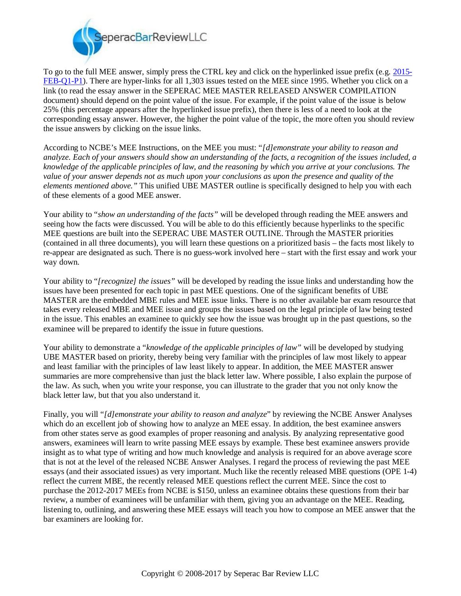

To go to the full MEE answer, simply press the CTRL key and click on the hyperlinked issue prefix (e.g. 2015- FEB-Q1-P1). There are hyper-links for all 1,303 issues tested on the MEE since 1995. Whether you click on a link (to read the essay answer in the SEPERAC MEE MASTER RELEASED ANSWER COMPILATION document) should depend on the point value of the issue. For example, if the point value of the issue is below 25% (this percentage appears after the hyperlinked issue prefix), then there is less of a need to look at the corresponding essay answer. However, the higher the point value of the topic, the more often you should review the issue answers by clicking on the issue links.

According to NCBE's MEE Instructions, on the MEE you must: "*[d]emonstrate your ability to reason and analyze. Each of your answers should show an understanding of the facts, a recognition of the issues included, a knowledge of the applicable principles of law, and the reasoning by which you arrive at your conclusions. The value of your answer depends not as much upon your conclusions as upon the presence and quality of the elements mentioned above."* This unified UBE MASTER outline is specifically designed to help you with each of these elements of a good MEE answer.

Your ability to "*show an understanding of the facts"* will be developed through reading the MEE answers and seeing how the facts were discussed. You will be able to do this efficiently because hyperlinks to the specific MEE questions are built into the SEPERAC UBE MASTER OUTLINE. Through the MASTER priorities (contained in all three documents), you will learn these questions on a prioritized basis – the facts most likely to re-appear are designated as such. There is no guess-work involved here – start with the first essay and work your way down.

Your ability to "*[recognize] the issues"* will be developed by reading the issue links and understanding how the issues have been presented for each topic in past MEE questions. One of the significant benefits of UBE MASTER are the embedded MBE rules and MEE issue links. There is no other available bar exam resource that takes every released MBE and MEE issue and groups the issues based on the legal principle of law being tested in the issue. This enables an examinee to quickly see how the issue was brought up in the past questions, so the examinee will be prepared to identify the issue in future questions.

Your ability to demonstrate a "*knowledge of the applicable principles of law"* will be developed by studying UBE MASTER based on priority, thereby being very familiar with the principles of law most likely to appear and least familiar with the principles of law least likely to appear. In addition, the MEE MASTER answer summaries are more comprehensive than just the black letter law. Where possible, I also explain the purpose of the law. As such, when you write your response, you can illustrate to the grader that you not only know the black letter law, but that you also understand it.

Finally, you will "*[d]emonstrate your ability to reason and analyze*" by reviewing the NCBE Answer Analyses which do an excellent job of showing how to analyze an MEE essay. In addition, the best examinee answers from other states serve as good examples of proper reasoning and analysis. By analyzing representative good answers, examinees will learn to write passing MEE essays by example. These best examinee answers provide insight as to what type of writing and how much knowledge and analysis is required for an above average score that is not at the level of the released NCBE Answer Analyses. I regard the process of reviewing the past MEE essays (and their associated issues) as very important. Much like the recently released MBE questions (OPE 1-4) reflect the current MBE, the recently released MEE questions reflect the current MEE. Since the cost to purchase the 2012-2017 MEEs from NCBE is \$150, unless an examinee obtains these questions from their bar review, a number of examinees will be unfamiliar with them, giving you an advantage on the MEE. Reading, listening to, outlining, and answering these MEE essays will teach you how to compose an MEE answer that the bar examiners are looking for.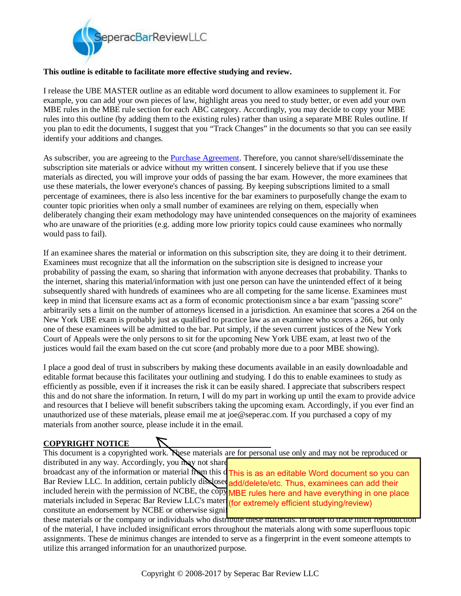

### **This outline is editable to facilitate more effective studying and review.**

I release the UBE MASTER outline as an editable word document to allow examinees to supplement it. For example, you can add your own pieces of law, highlight areas you need to study better, or even add your own MBE rules in the MBE rule section for each ABC category. Accordingly, you may decide to copy your MBE rules into this outline (by adding them to the existing rules) rather than using a separate MBE Rules outline. If you plan to edit the documents, I suggest that you "Track Changes" in the documents so that you can see easily identify your additions and changes.

As subscriber, you are agreeing to the Purchase Agreement. Therefore, you cannot share/sell/disseminate the subscription site materials or advice without my written consent. I sincerely believe that if you use these materials as directed, you will improve your odds of passing the bar exam. However, the more examinees that use these materials, the lower everyone's chances of passing. By keeping subscriptions limited to a small percentage of examinees, there is also less incentive for the bar examiners to purposefully change the exam to counter topic priorities when only a small number of examinees are relying on them, especially when deliberately changing their exam methodology may have unintended consequences on the majority of examinees who are unaware of the priorities (e.g. adding more low priority topics could cause examinees who normally would pass to fail).

If an examinee shares the material or information on this subscription site, they are doing it to their detriment. Examinees must recognize that all the information on the subscription site is designed to increase your probability of passing the exam, so sharing that information with anyone decreases that probability. Thanks to the internet, sharing this material/information with just one person can have the unintended effect of it being subsequently shared with hundreds of examinees who are all competing for the same license. Examinees must keep in mind that licensure exams act as a form of economic protectionism since a bar exam "passing score" arbitrarily sets a limit on the number of attorneys licensed in a jurisdiction. An examinee that scores a 264 on the New York UBE exam is probably just as qualified to practice law as an examinee who scores a 266, but only one of these examinees will be admitted to the bar. Put simply, if the seven current justices of the New York Court of Appeals were the only persons to sit for the upcoming New York UBE exam, at least two of the justices would fail the exam based on the cut score (and probably more due to a poor MBE showing).

I place a good deal of trust in subscribers by making these documents available in an easily downloadable and editable format because this facilitates your outlining and studying. I do this to enable examinees to study as efficiently as possible, even if it increases the risk it can be easily shared. I appreciate that subscribers respect this and do not share the information. In return, I will do my part in working up until the exam to provide advice and resources that I believe will benefit subscribers taking the upcoming exam. Accordingly, if you ever find an unauthorized use of these materials, please email me at [joe@seperac.com](mailto:joe:@seperac.com). If you purchased a copy of my materials from another source, please include it in the email.

### **COPYRIGHT NOTICE**

This document is a copyrighted work. These materials are for personal use only and may not be reproduced or distributed in any way. Accordingly, you may not share

broadcast any of the information or material from this  $\frac{1}{\sqrt{h}}$  is as an editable Word document so you can Bar Review LLC. In addition, certain publicly dis losed add/delete/etc. Thus, examinees can add their included herein with the permission of NCBE, the copy MBE rules here and have everything in one place materials included in Seperac Bar Review LLC's mater (for extremely efficient studying/review) constitute an endorsement by NCBE or otherwise signify

these materials or the company or individuals who distribute these materials. In order to trace illicit reproduction of the material, I have included insignificant errors throughout the materials along with some superfluous topic assignments. These de minimus changes are intended to serve as a fingerprint in the event someone attempts to utilize this arranged information for an unauthorized purpose.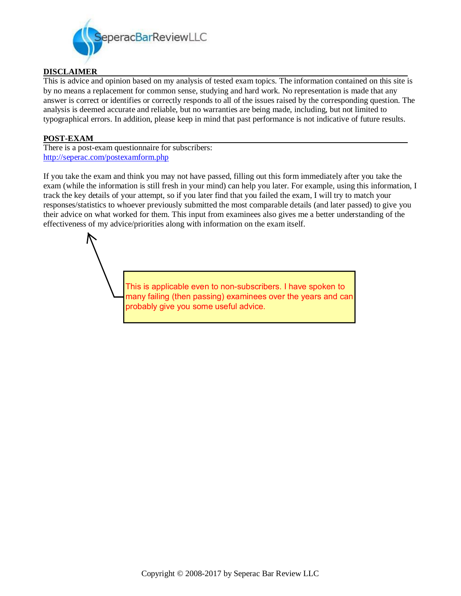

### **DISCLAIMER**

This is advice and opinion based on my analysis of tested exam topics. The information contained on this site is by no means a replacement for common sense, studying and hard work. No representation is made that any answer is correct or identifies or correctly responds to all of the issues raised by the corresponding question. The analysis is deemed accurate and reliable, but no warranties are being made, including, but not limited to typographical errors. In addition, please keep in mind that past performance is not indicative of future results.

### **POST-EXAM**

There is a post-exam questionnaire for subscribers: <http://seperac.com/postexamform.php>

If you take the exam and think you may not have passed, filling out this form immediately after you take the exam (while the information is still fresh in your mind) can help you later. For example, using this information, I track the key details of your attempt, so if you later find that you failed the exam, I will try to match your responses/statistics to whoever previously submitted the most comparable details (and later passed) to give you their advice on what worked for them. This input from examinees also gives me a better understanding of the effectiveness of my advice/priorities along with information on the exam itself.

> This is applicable even to non-subscribers. I have spoken to many failing (then passing) examinees over the years and can probably give you some useful advice.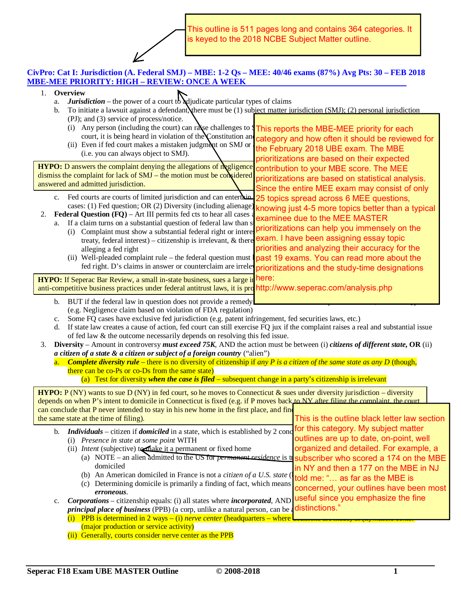This outline is 511 pages long and contains 364 categories. It is keyed to the 2018 NCBE Subject Matter outline.

## **CivPro: Cat I: Jurisdiction (A. Federal SMJ) – MBE: 1-2 Qs – MEE: 40/46 exams (87%) Avg Pts: 30 – FEB 2018 MBE-MEE PRIORITY: HIGH – REVIEW: ONCE A WEEK**

| $1_{\cdot}$                                                                                                                                                    |                                                                                                                                       | Overview                                                                                                                         |                                                                                                             |  |  |
|----------------------------------------------------------------------------------------------------------------------------------------------------------------|---------------------------------------------------------------------------------------------------------------------------------------|----------------------------------------------------------------------------------------------------------------------------------|-------------------------------------------------------------------------------------------------------------|--|--|
|                                                                                                                                                                | a.                                                                                                                                    | <b>Jurisdiction</b> – the power of a court to adjudicate particular types of claims                                              |                                                                                                             |  |  |
|                                                                                                                                                                | b.                                                                                                                                    | To initiate a lawsuit against a defendant, there must be (1) subject matter jurisdiction (SMJ); (2) personal jurisdiction        |                                                                                                             |  |  |
|                                                                                                                                                                |                                                                                                                                       | (PJ); and (3) service of process/notice.                                                                                         |                                                                                                             |  |  |
|                                                                                                                                                                |                                                                                                                                       | (i) Any person (including the court) can rayse challenges to <b>This reports the MBE-MEE priority for each</b>                   |                                                                                                             |  |  |
|                                                                                                                                                                |                                                                                                                                       | court, it is being heard in violation of the Constitution and<br>(ii) Even if fed court makes a mistaken judgment on SMJ or      | category and how often it should be reviewed for                                                            |  |  |
|                                                                                                                                                                |                                                                                                                                       | (i.e. you can always object to SMJ).                                                                                             | the February 2018 UBE exam. The MBE                                                                         |  |  |
|                                                                                                                                                                |                                                                                                                                       |                                                                                                                                  | prioritizations are based on their expected                                                                 |  |  |
|                                                                                                                                                                |                                                                                                                                       | <b>HYPO:</b> D answers the complaint denying the allegations of megligence                                                       | contribution to your MBE score. The MEE                                                                     |  |  |
|                                                                                                                                                                |                                                                                                                                       | dismiss the complaint for lack of SMJ – the motion must be considered                                                            | prioritizations are based on statistical analysis.                                                          |  |  |
|                                                                                                                                                                |                                                                                                                                       | answered and admitted jurisdiction.                                                                                              | Since the entire MEE exam may consist of only                                                               |  |  |
|                                                                                                                                                                |                                                                                                                                       | c. Fed courts are courts of limited jurisdiction and can entertain                                                               | 25 topics spread across 6 MEE questions,                                                                    |  |  |
|                                                                                                                                                                |                                                                                                                                       | cases: (1) Fed question; OR (2) Diversity (including alienage)                                                                   |                                                                                                             |  |  |
| 2.                                                                                                                                                             |                                                                                                                                       | Federal Question (FQ) - Art III permits fed cts to hear all cases                                                                | knowing just 4-5 more topics better than a typical                                                          |  |  |
|                                                                                                                                                                | a.                                                                                                                                    | If a claim turns on a substantial question of federal law than s                                                                 | examinee due to the MEE MASTER                                                                              |  |  |
|                                                                                                                                                                |                                                                                                                                       | (i) Complaint must show a substantial federal right or interest                                                                  | prioritizations can help you immensely on the                                                               |  |  |
|                                                                                                                                                                |                                                                                                                                       | treaty, federal interest) – citizenship is irrelevant, $\&$ there                                                                | exam. I have been assigning essay topic                                                                     |  |  |
|                                                                                                                                                                |                                                                                                                                       | alleging a fed right                                                                                                             | priorities and analyzing their accuracy for the                                                             |  |  |
|                                                                                                                                                                |                                                                                                                                       | (ii) Well-pleaded complaint rule – the federal question must                                                                     | past 19 exams. You can read more about the                                                                  |  |  |
|                                                                                                                                                                |                                                                                                                                       | fed right. D's claims in answer or counterclaim are irrelevprioritizations and the study-time designations                       |                                                                                                             |  |  |
|                                                                                                                                                                |                                                                                                                                       | HYPO: If Seperac Bar Review, a small in-state business, sues a large in here:                                                    |                                                                                                             |  |  |
|                                                                                                                                                                |                                                                                                                                       | anti-competitive business practices under federal antitrust laws, it is pro http://www.seperac.com/analysis.php                  |                                                                                                             |  |  |
|                                                                                                                                                                |                                                                                                                                       |                                                                                                                                  |                                                                                                             |  |  |
|                                                                                                                                                                | b.                                                                                                                                    | BUT if the federal law in question does not provide a remedy                                                                     |                                                                                                             |  |  |
|                                                                                                                                                                |                                                                                                                                       | (e.g. Negligence claim based on violation of FDA regulation)                                                                     |                                                                                                             |  |  |
|                                                                                                                                                                | c.                                                                                                                                    | Some FQ cases have exclusive fed jurisdiction (e.g. patent infringement, fed securities laws, etc.)                              |                                                                                                             |  |  |
|                                                                                                                                                                | d.                                                                                                                                    | If state law creates a cause of action, fed court can still exercise FQ jux if the complaint raises a real and substantial issue |                                                                                                             |  |  |
|                                                                                                                                                                | of fed law & the outcome necessarily depends on resolving this fed issue.                                                             |                                                                                                                                  |                                                                                                             |  |  |
| Diversity – Amount in controversy must exceed 75K, AND the action must be between (i) citizens of different state, OR (ii)<br>3.                               |                                                                                                                                       |                                                                                                                                  |                                                                                                             |  |  |
|                                                                                                                                                                | a citizen of a state & a citizen or subject of a foreign country ("alien")                                                            |                                                                                                                                  |                                                                                                             |  |  |
|                                                                                                                                                                | <b>Complete diversity rule</b> – there is no diversity of citizenship if any P is a citizen of the same state as any D (though,<br>a. |                                                                                                                                  |                                                                                                             |  |  |
| there can be co-Ps or co-Ds from the same state)<br>(a) Test for diversity when the case is filed $-$ subsequent change in a party's citizenship is irrelevant |                                                                                                                                       |                                                                                                                                  |                                                                                                             |  |  |
|                                                                                                                                                                |                                                                                                                                       |                                                                                                                                  |                                                                                                             |  |  |
|                                                                                                                                                                |                                                                                                                                       | <b>HYPO:</b> P (NY) wants to sue D (NY) in fed court, so he moves to Connecticut & sues under diversity jurisdiction – diversity |                                                                                                             |  |  |
|                                                                                                                                                                |                                                                                                                                       | depends on when P's intent to domicile in Connecticut is fixed (e.g. if P moves back to NY after filing the complaint the court  |                                                                                                             |  |  |
|                                                                                                                                                                |                                                                                                                                       | can conclude that P never intended to stay in his new home in the first place, and fine                                          |                                                                                                             |  |  |
|                                                                                                                                                                |                                                                                                                                       | the same state at the time of filing).                                                                                           | This is the outline black letter law section                                                                |  |  |
|                                                                                                                                                                | b.                                                                                                                                    | Individuals – citizen if <i>domiciled</i> in a state, which is established by 2 conce for this category. My subject matter       |                                                                                                             |  |  |
|                                                                                                                                                                |                                                                                                                                       | (i) Presence in state at some point WITH                                                                                         | outlines are up to date, on-point, well                                                                     |  |  |
|                                                                                                                                                                |                                                                                                                                       | (ii) <i>Intent</i> (subjective) to the same of fixed home                                                                        | organized and detailed. For example, a                                                                      |  |  |
|                                                                                                                                                                |                                                                                                                                       |                                                                                                                                  | (a) NOTE – an alien admitted to the US for permanent residence is to subscriber who scored a 174 on the MBE |  |  |
|                                                                                                                                                                | domiciled                                                                                                                             |                                                                                                                                  | in NY and then a 177 on the MBE in NJ                                                                       |  |  |
| (b) An American domiciled in France is not a citizen of a U.S. state (                                                                                         |                                                                                                                                       |                                                                                                                                  | told me: " as far as the MBE is                                                                             |  |  |
|                                                                                                                                                                |                                                                                                                                       | (c) Determining domicile is primarily a finding of fact, which means                                                             | concerned, your outlines have been most                                                                     |  |  |
|                                                                                                                                                                |                                                                                                                                       | erroneous.                                                                                                                       |                                                                                                             |  |  |
|                                                                                                                                                                | c.                                                                                                                                    | Corporations – citizenship equals: (i) all states where <i>incorporated</i> , AND useful since you emphasize the fine            |                                                                                                             |  |  |
|                                                                                                                                                                |                                                                                                                                       | <i>principal place of business</i> (PPB) (a corp, unlike a natural person, can be a distinctions."                               |                                                                                                             |  |  |
|                                                                                                                                                                |                                                                                                                                       | (i) PPB is determined in 2 ways $-$ (i) nerve center (headquarters – where                                                       |                                                                                                             |  |  |
|                                                                                                                                                                |                                                                                                                                       | (major production or service activity)                                                                                           |                                                                                                             |  |  |
|                                                                                                                                                                |                                                                                                                                       | (ii) Generally, courts consider nerve center as the PPB                                                                          |                                                                                                             |  |  |

**Seperac F18 Exam UBE MASTER Outline**  $\qquad \qquad \odot 2008 - 2018$  **1**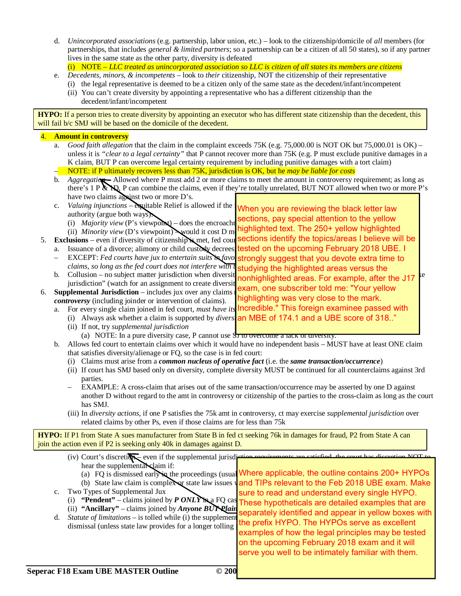- d. *Unincorporated associations* (e.g. partnership, labor union, etc.) look to the citizenship/domicile of *all* members (for partnerships, that includes *general & limited partners*; so a partnership can be a citizen of all 50 states), so if any partner lives in the same state as the other party, diversity is defeated (i) NOTE – *LLC treated as unincorporated association so LLC is citizen of all states its members are citizens*
- e. *Decedents, minors, & incompetents* look to *their* citizenship, NOT the citizenship of their representative
	- (i) the legal representative is deemed to be a citizen only of the same state as the decedent/infant/incompetent
		- (ii) You can't create diversity by appointing a representative who has a different citizenship than the
		- decedent/infant/incompetent

**HYPO:** If a person tries to create diversity by appointing an executor who has different state citizenship than the decedent, this will fail b/c SMJ will be based on the domicile of the decedent.

#### 4. **Amount in controversy** a. *Good faith allegation* that the claim in the complaint exceeds 75K (e.g. 75,000.00 is NOT OK but 75,000.01 is OK) – unless it is *"clear to a legal certainty"* that P cannot recover more than 75K (e.g. P must exclude punitive damages in a K claim, BUT P can overcome legal certainty requirement by including punitive damages with a tort claim) – NOTE: if P ultimately recovers less than 75K, jurisdiction is OK, but he *may be liable for costs* b. *Aggregatio* – Allowed where P must add 2 or more claims to meet the amount in controversy requirement; as long as there's 1 P  $\&\mathbb{N}$ , P can combine the claims, even if they're totally unrelated, BUT NOT allowed when two or more P's have two claims against two or more D's. c. *Valuing injunctions* – equitable Relief is allowed if the authority (argue both ways): (i) *Majority view* (P's viewpoint) – does the encroach (ii) *Minority view* (D's viewpoint) would it cost D m 5. **Exclusions** – even if diversity of citizenship is met, fed countered  $\sum_{n=1}^{\infty}$ a. Issuance of a divorce; alimony or child custody decrees — EXCEPT: Fed courts have jux to entertain suits in favo**s strongly suggest that you devote extra time to** *claims, so long as the fed court does not interfere with t* b. Collusion – no subject matter jurisdiction when diversity  $\frac{1}{2}$  contribution are  $\frac{1}{2}$  manufacturely made of  $\frac{1}{2}$  for  $\frac{1}{2}$  for  $\frac{1}{2}$  for  $\frac{1}{2}$  for  $\frac{1}{2}$  for  $\frac{1}{2}$  for  $\frac{1}{2}$  for  $\frac$ jurisdiction" (watch for an assignment to create diversity) 6. **Supplemental Jurisdiction** – includes jux over any claims *controversy* (including joinder or intervention of claims). a. For every single claim joined in fed court, *must have its* (i) Always ask whether a claim is supported by *divers* an MBE of 174.1 and a UBE score of 318.." (ii) If not, try *supplemental jurisdiction* (a) NOTE: In a pure diversity case, P cannot use  $S_{\overline{J}}$  to overcome a lack of diversity. b. Allows fed court to entertain claims over which it would have no independent basis – MUST have at least ONE claim that satisfies diversity/alienage or FQ, so the case is in fed court: (i) Claims must arise from a *common nucleus of operative fact* (i.e. the *same transaction/occurrence*) (ii) If court has SMJ based only on diversity, complete diversity MUST be continued for all counterclaims against 3rd parties. – EXAMPLE: A cross-claim that arises out of the same transaction/occurrence may be asserted by one D against another D without regard to the amt in controversy or citizenship of the parties to the cross-claim as long as the court has SMJ. (iii) In *diversity actions*, if one P satisfies the 75k amt in controversy, ct may exercise *supplemental jurisdiction* over related claims by other Ps, even if those claims are for less than 75k **HYPO:** If P1 from State A sues manufacturer from State B in fed ct seeking 76k in damages for fraud, P2 from State A can join the action even if P2 is seeking only 40k in damages against D. (iv) Court's discretion – even if the supplemental jurisdiction requirements are satisfied, the court of  $\overline{N}$  are satisfied, the court has discretion  $\overline{N}$  are satisfied, the court has discretion  $\overline{N}$  are satis hear the supplemental claim if: (a) FQ is dismissed early in the proceedings (usual (b) State law claim is complex or state law issues c. Two Types of Supplemental Jux (i) **"Pendent"** – claims joined by  $P$  ONLY  $\mathbf{h}_a$  FQ cas (ii) **"Ancillary"** – claims joined by *Anyone BUT Plain* When you are reviewing the black letter law ections, pay special attention to the yellow highlighted text. The 250+ yellow highlighted sections identify the topics/areas I believe will be tested on the upcoming February 2018 UBE. I studying the highlighted areas versus the nonhighlighted areas. For example, after the J17 exam, one subscriber told me: "Your yellow highlighting was very close to the mark. Incredible." This foreign examinee passed with Where applicable, the outline contains 200+ HYPOs and TIPs relevant to the Feb 2018 UBE exam. Make sure to read and understand every single HYPO. These hypotheticals are detailed examples that are separately identified and appear in yellow boxes with

d. *Statute of limitations* – is tolled while (i) the supplement dismissal (unless state law provides for a longer tolling).

the prefix HYPO. The HYPOs serve as excellent examples of how the legal principles may be tested on the upcoming February 2018 exam and it will serve you well to be intimately familiar with them.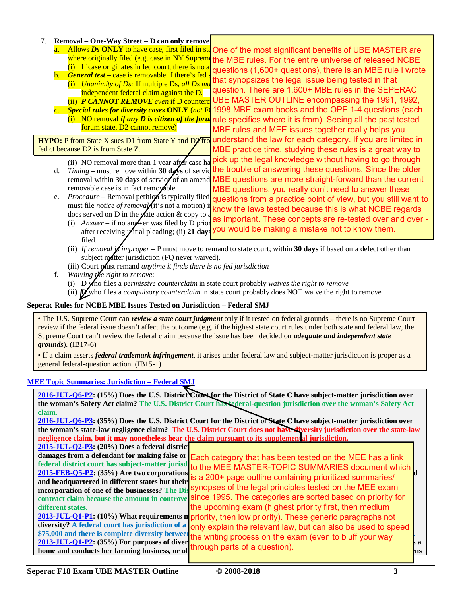#### 7. **Removal – One-Way Street – D can only remove**

- a. Allows Ds ONLY to have case, first filed in staOne of the most significant benefits of UBE MASTER are where originally filed (e.g. case in NY Supreme the MBE rules. For the entire universe of released NCBE
- $(i)$  If case originates in fed court, there is no a **b.** *General test* – case is removable if there's fed questions (1,600+ questions), there is an MBE rule I wrote
	- (i) *Unanimity of Ds:* If multiple Ds, all Ds must all a single and the United St and R can remove if the United St and R can remove if the United St and D and T independent federal claim against the D. that synopsizes the legal issue being tested in that question. There are 1,600+ MBE rules in the SEPERAC UBE MASTER OUTLINE encompassing the 1991, 1992,
- (ii) **P CANNOT REMOVE** even if D counterclaims **P CANNOT REMOVE** even if D counterclaim c. *Special rules for diversity cases* **ONLY** (*not* FQ cases) (i) NO removal *if any D is citizen of the foru* rule specifies where it is from). Seeing all the past tested forum state, D2 cannot remove) 1998 MBE exam books and the OPE 1-4 questions (each

fed ct because D2 is from State Z.

**HYPO:** P from State X sues D1 from State Y and D2 from Understand the law for each category. If you are limited in MBE rules and MEE issues together really helps you MBE practice time, studying these rules is a great way to

- (ii) NO removal more than 1 year after case ha pick up the legal knowledge without having to go through d. Timing – must remove within 30  $\frac{dy}{s}$  of servic the trouble of answering these questions. Since the older removal within 30 days of serviceof of an amend MBE questions are more straight-forward than the current removable case is in fact removable MBE questions, you really don't need to answer these
- e. *Procedure* Removal petition is typically filed questions from a practice point of view, but you still want to must file *notice of removal* (it's not a motion) in docs served on D in the state action  $\&$  copy to a know the laws tested because this is what NCBE regards as important. These concepts are re-tested over and over -
	- (i) *Answer* if no answer was filed by D prior **ds** important. These concepts are re-rested over and over after receiving *initial* pleading; (ii) 21 days you would be making a mistake not to know them. filed.
	- (ii) If removal  $\vec{\mu}$  improper P must move to remand to state court; within **30 days** if based on a defect other than subject matter jurisdiction (FQ never waived).
	- (iii) Court must remand *anytime it finds there is no fed jurisdiction*
- f. *Waiving the right to remove*:
	- (i) D who files a *permissive counterclaim* in state court probably *waives the right to remove*
	- (ii) D who files a *compulsory counterclaim* in state court probably does NOT waive the right to remove

#### **Seperac Rules for NCBE MBE Issues Tested on Jurisdiction – Federal SMJ**

• The U.S. Supreme Court can *review a state court judgment* only if it rested on federal grounds – there is no Supreme Court review if the federal issue doesn't affect the outcome (e.g. if the highest state court rules under both state and federal law, the Supreme Court can't review the federal claim because the issue has been decided on *adequate and independent state grounds*). (IB17-6)

• If a claim asserts *federal trademark infringement*, it arises under federal law and subject-matter jurisdiction is proper as a general federal-question action. (IB15-1)

#### **MEE Topic Summaries: Jurisdiction – Federal SMJ**

| 2016-JUL-O6-P2: (15%) Does the U.S. District Court for the District of State C have subject-matter jurisdiction over    |                                                                                                                    |     |  |  |  |
|-------------------------------------------------------------------------------------------------------------------------|--------------------------------------------------------------------------------------------------------------------|-----|--|--|--|
| the woman's Safety Act claim? The U.S. District Court has sederal-question jurisdiction over the woman's Safety Act     |                                                                                                                    |     |  |  |  |
| claim.                                                                                                                  |                                                                                                                    |     |  |  |  |
| 2016-JUL-Q6-P3: (35%) Does the U.S. District Court for the District of State C have subject-matter jurisdiction over    |                                                                                                                    |     |  |  |  |
| the woman's state-law negligence claim? The U.S. District Court does not have diversity jurisdiction over the state-law |                                                                                                                    |     |  |  |  |
| negligence claim, but it may nonetheless hear the claim pursuant to its supplemental jurisdiction.                      |                                                                                                                    |     |  |  |  |
| $2015$ -JUL-Q2-P3: $(20\%)$ Does a federal district                                                                     |                                                                                                                    |     |  |  |  |
|                                                                                                                         | damages from a defendant for making false or Each category that has been tested on the MEE has a link              |     |  |  |  |
|                                                                                                                         | federal district court has subject-matter jurisd to the MEE MASTER-TOPIC SUMMARIES document which                  |     |  |  |  |
| 2015-FEB-Q5-P2: (35%) Are two corporations                                                                              | is a 200+ page outline containing prioritized summaries/                                                           |     |  |  |  |
| and headquartered in different states but their                                                                         |                                                                                                                    |     |  |  |  |
|                                                                                                                         | incorporation of one of the businesses? The Dis <sup>Synopses</sup> of the legal principles tested on the MEE exam |     |  |  |  |
|                                                                                                                         | contract claim because the amount in controve since 1995. The categories are sorted based on priority for          |     |  |  |  |
| different states.                                                                                                       | the upcoming exam (highest priority first, then medium                                                             |     |  |  |  |
|                                                                                                                         | 2013-JUL-Q1-P1: (10%) What requirements no priority, then low priority). These generic paragraphs not              |     |  |  |  |
|                                                                                                                         | diversity? A federal court has jurisdiction of a only explain the relevant law, but can also be used to speed      |     |  |  |  |
|                                                                                                                         | \$75,000 and there is complete diversity between the writing process on the exam (even to bluff your way           |     |  |  |  |
| $2013$ -JUL-Q1-P2: (35%) For purposes of diver                                                                          |                                                                                                                    | sа  |  |  |  |
| home and conducts her farming business, or of                                                                           | through parts of a question).                                                                                      | hns |  |  |  |
|                                                                                                                         |                                                                                                                    |     |  |  |  |